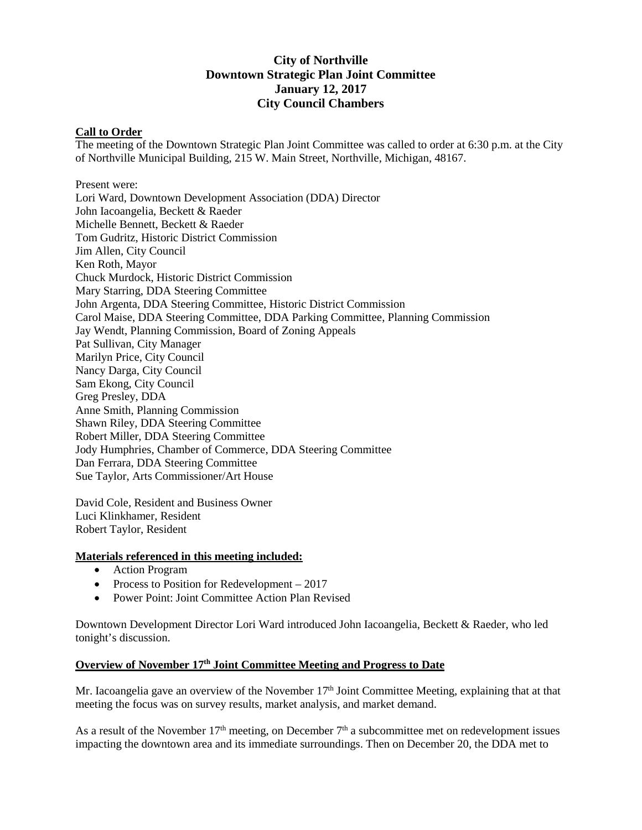## **City of Northville Downtown Strategic Plan Joint Committee January 12, 2017 City Council Chambers**

### **Call to Order**

The meeting of the Downtown Strategic Plan Joint Committee was called to order at 6:30 p.m. at the City of Northville Municipal Building, 215 W. Main Street, Northville, Michigan, 48167.

Present were: Lori Ward, Downtown Development Association (DDA) Director John Iacoangelia, Beckett & Raeder Michelle Bennett, Beckett & Raeder Tom Gudritz, Historic District Commission Jim Allen, City Council Ken Roth, Mayor Chuck Murdock, Historic District Commission Mary Starring, DDA Steering Committee John Argenta, DDA Steering Committee, Historic District Commission Carol Maise, DDA Steering Committee, DDA Parking Committee, Planning Commission Jay Wendt, Planning Commission, Board of Zoning Appeals Pat Sullivan, City Manager Marilyn Price, City Council Nancy Darga, City Council Sam Ekong, City Council Greg Presley, DDA Anne Smith, Planning Commission Shawn Riley, DDA Steering Committee Robert Miller, DDA Steering Committee Jody Humphries, Chamber of Commerce, DDA Steering Committee Dan Ferrara, DDA Steering Committee Sue Taylor, Arts Commissioner/Art House

David Cole, Resident and Business Owner Luci Klinkhamer, Resident Robert Taylor, Resident

#### **Materials referenced in this meeting included:**

- Action Program
- Process to Position for Redevelopment 2017
- Power Point: Joint Committee Action Plan Revised

Downtown Development Director Lori Ward introduced John Iacoangelia, Beckett & Raeder, who led tonight's discussion.

# **Overview of November 17th Joint Committee Meeting and Progress to Date**

Mr. Iacoangelia gave an overview of the November  $17<sup>th</sup>$  Joint Committee Meeting, explaining that at that meeting the focus was on survey results, market analysis, and market demand.

As a result of the November  $17<sup>th</sup>$  meeting, on December  $7<sup>th</sup>$  a subcommittee met on redevelopment issues impacting the downtown area and its immediate surroundings. Then on December 20, the DDA met to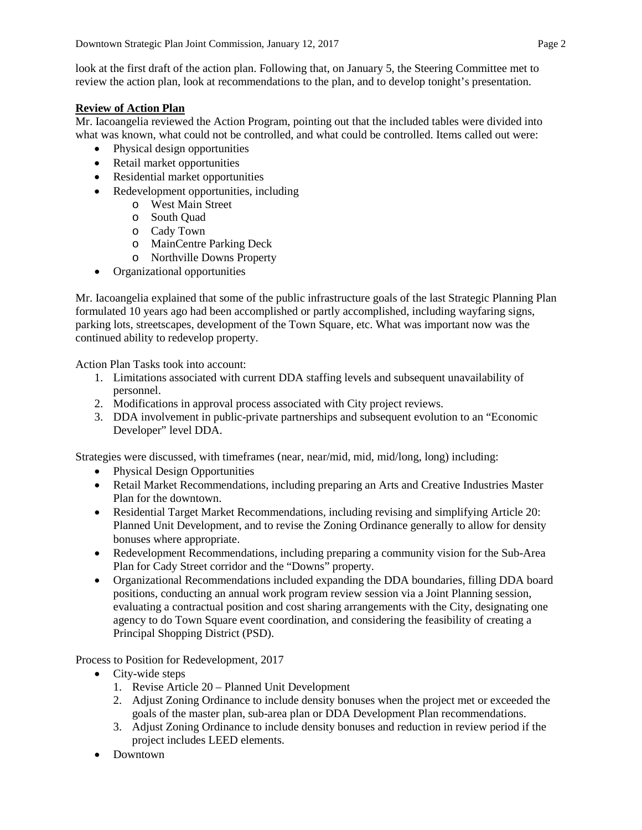look at the first draft of the action plan. Following that, on January 5, the Steering Committee met to review the action plan, look at recommendations to the plan, and to develop tonight's presentation.

### **Review of Action Plan**

Mr. Iacoangelia reviewed the Action Program, pointing out that the included tables were divided into what was known, what could not be controlled, and what could be controlled. Items called out were:

- Physical design opportunities
- Retail market opportunities
- Residential market opportunities
- Redevelopment opportunities, including
	- o West Main Street
	- o South Quad
	- o Cady Town
	- o MainCentre Parking Deck
	- o Northville Downs Property
- Organizational opportunities

Mr. Iacoangelia explained that some of the public infrastructure goals of the last Strategic Planning Plan formulated 10 years ago had been accomplished or partly accomplished, including wayfaring signs, parking lots, streetscapes, development of the Town Square, etc. What was important now was the continued ability to redevelop property.

Action Plan Tasks took into account:

- 1. Limitations associated with current DDA staffing levels and subsequent unavailability of personnel.
- 2. Modifications in approval process associated with City project reviews.
- 3. DDA involvement in public-private partnerships and subsequent evolution to an "Economic Developer" level DDA.

Strategies were discussed, with timeframes (near, near/mid, mid, mid/long, long) including:

- Physical Design Opportunities
- Retail Market Recommendations, including preparing an Arts and Creative Industries Master Plan for the downtown.
- Residential Target Market Recommendations, including revising and simplifying Article 20: Planned Unit Development, and to revise the Zoning Ordinance generally to allow for density bonuses where appropriate.
- Redevelopment Recommendations, including preparing a community vision for the Sub-Area Plan for Cady Street corridor and the "Downs" property.
- Organizational Recommendations included expanding the DDA boundaries, filling DDA board positions, conducting an annual work program review session via a Joint Planning session, evaluating a contractual position and cost sharing arrangements with the City, designating one agency to do Town Square event coordination, and considering the feasibility of creating a Principal Shopping District (PSD).

Process to Position for Redevelopment, 2017

- City-wide steps
	- 1. Revise Article 20 Planned Unit Development
	- 2. Adjust Zoning Ordinance to include density bonuses when the project met or exceeded the goals of the master plan, sub-area plan or DDA Development Plan recommendations.
	- 3. Adjust Zoning Ordinance to include density bonuses and reduction in review period if the project includes LEED elements.
- Downtown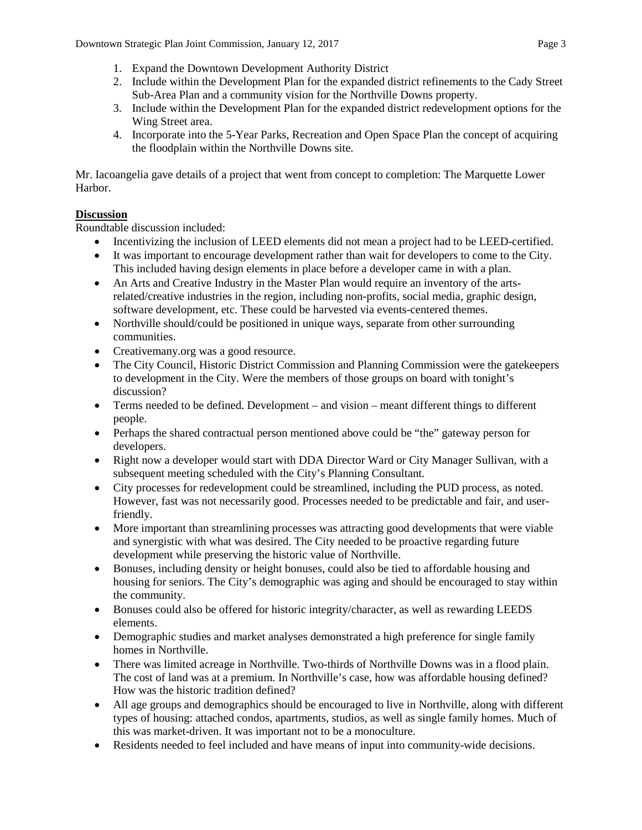- 1. Expand the Downtown Development Authority District
- 2. Include within the Development Plan for the expanded district refinements to the Cady Street Sub-Area Plan and a community vision for the Northville Downs property.
- 3. Include within the Development Plan for the expanded district redevelopment options for the Wing Street area.
- 4. Incorporate into the 5-Year Parks, Recreation and Open Space Plan the concept of acquiring the floodplain within the Northville Downs site.

Mr. Iacoangelia gave details of a project that went from concept to completion: The Marquette Lower Harbor.

### **Discussion**

Roundtable discussion included:

- Incentivizing the inclusion of LEED elements did not mean a project had to be LEED-certified.
- It was important to encourage development rather than wait for developers to come to the City. This included having design elements in place before a developer came in with a plan.
- An Arts and Creative Industry in the Master Plan would require an inventory of the artsrelated/creative industries in the region, including non-profits, social media, graphic design, software development, etc. These could be harvested via events-centered themes.
- Northville should/could be positioned in unique ways, separate from other surrounding communities.
- Creativemany.org was a good resource.
- The City Council, Historic District Commission and Planning Commission were the gatekeepers to development in the City. Were the members of those groups on board with tonight's discussion?
- Terms needed to be defined. Development and vision meant different things to different people.
- Perhaps the shared contractual person mentioned above could be "the" gateway person for developers.
- Right now a developer would start with DDA Director Ward or City Manager Sullivan, with a subsequent meeting scheduled with the City's Planning Consultant.
- City processes for redevelopment could be streamlined, including the PUD process, as noted. However, fast was not necessarily good. Processes needed to be predictable and fair, and userfriendly.
- More important than streamlining processes was attracting good developments that were viable and synergistic with what was desired. The City needed to be proactive regarding future development while preserving the historic value of Northville.
- Bonuses, including density or height bonuses, could also be tied to affordable housing and housing for seniors. The City's demographic was aging and should be encouraged to stay within the community.
- Bonuses could also be offered for historic integrity/character, as well as rewarding LEEDS elements.
- Demographic studies and market analyses demonstrated a high preference for single family homes in Northville.
- There was limited acreage in Northville. Two-thirds of Northville Downs was in a flood plain. The cost of land was at a premium. In Northville's case, how was affordable housing defined? How was the historic tradition defined?
- All age groups and demographics should be encouraged to live in Northville, along with different types of housing: attached condos, apartments, studios, as well as single family homes. Much of this was market-driven. It was important not to be a monoculture.
- Residents needed to feel included and have means of input into community-wide decisions.